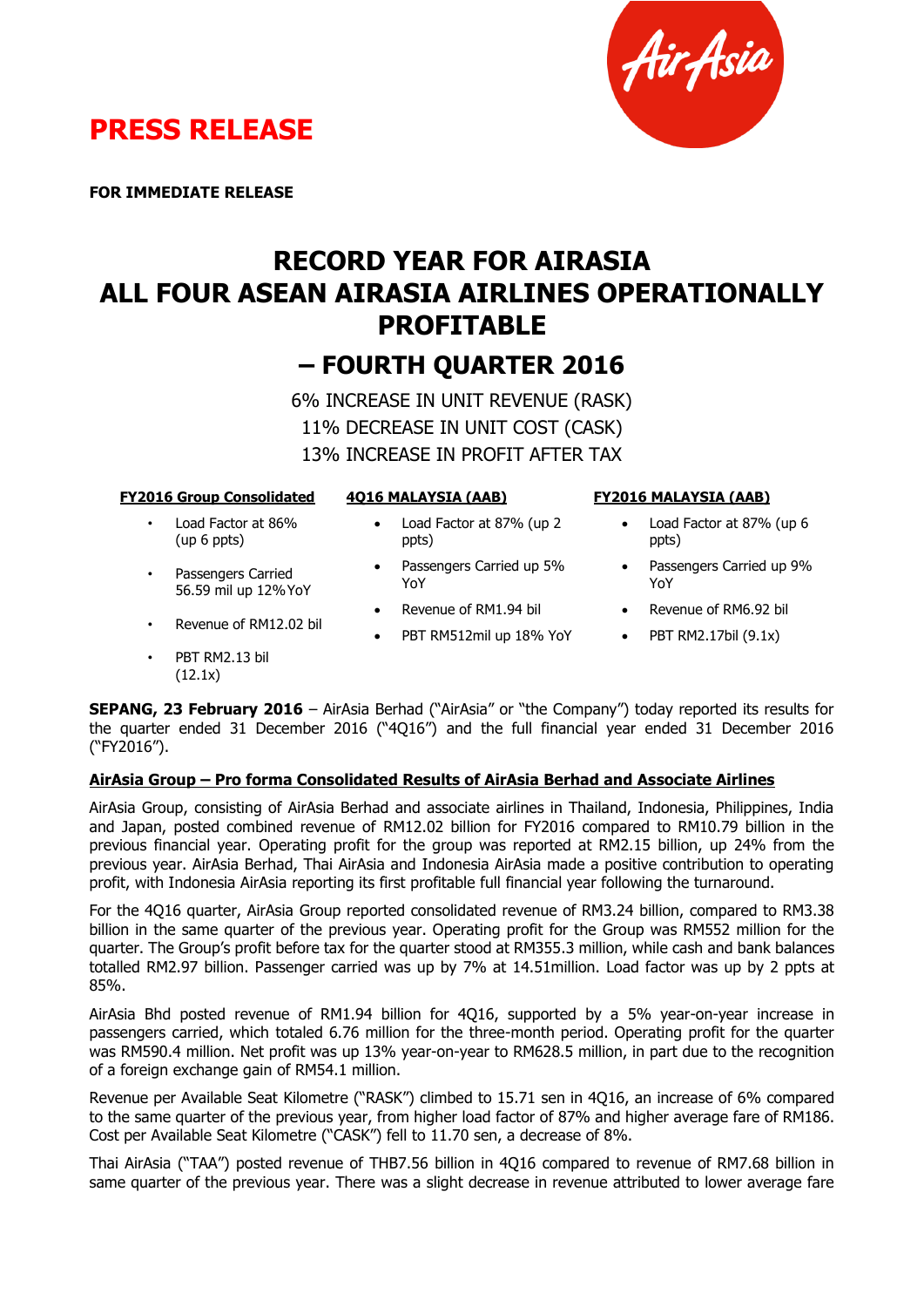



**FOR IMMEDIATE RELEASE**

# **RECORD YEAR FOR AIRASIA ALL FOUR ASEAN AIRASIA AIRLINES OPERATIONALLY PROFITABLE**

## **– FOURTH QUARTER 2016**

6% INCREASE IN UNIT REVENUE (RASK) 11% DECREASE IN UNIT COST (CASK) 13% INCREASE IN PROFIT AFTER TAX

|  | <b>FY2016 Group Consolidated</b> |
|--|----------------------------------|
|  |                                  |

#### • Load Factor at 86% (up 6 ppts)

- Passengers Carried 56.59 mil up 12%YoY
- Revenue of RM12.02 bil
- PBT RM2.13 bil (12.1x)

## **4Q16 MALAYSIA (AAB)**

- Load Factor at 87% (up 2 ppts)
- Passengers Carried up 5% YoY
- Revenue of RM1.94 bil
- PBT RM512mil up 18% YoY
- **FY2016 MALAYSIA (AAB)**
	- Load Factor at 87% (up 6 ppts)
	- Passengers Carried up 9% YoY
	- Revenue of RM6.92 bil
	- $\bullet$  PBT RM2.17bil (9.1x)

**SEPANG, 23 February 2016** – AirAsia Berhad ("AirAsia" or "the Company") today reported its results for the quarter ended 31 December 2016 ("4Q16") and the full financial year ended 31 December 2016 ("FY2016").

## **AirAsia Group – Pro forma Consolidated Results of AirAsia Berhad and Associate Airlines**

AirAsia Group, consisting of AirAsia Berhad and associate airlines in Thailand, Indonesia, Philippines, India and Japan, posted combined revenue of RM12.02 billion for FY2016 compared to RM10.79 billion in the previous financial year. Operating profit for the group was reported at RM2.15 billion, up 24% from the previous year. AirAsia Berhad, Thai AirAsia and Indonesia AirAsia made a positive contribution to operating profit, with Indonesia AirAsia reporting its first profitable full financial year following the turnaround.

For the 4Q16 quarter, AirAsia Group reported consolidated revenue of RM3.24 billion, compared to RM3.38 billion in the same quarter of the previous year. Operating profit for the Group was RM552 million for the quarter. The Group's profit before tax for the quarter stood at RM355.3 million, while cash and bank balances totalled RM2.97 billion. Passenger carried was up by 7% at 14.51million. Load factor was up by 2 ppts at 85%.

AirAsia Bhd posted revenue of RM1.94 billion for 4Q16, supported by a 5% year-on-year increase in passengers carried, which totaled 6.76 million for the three-month period. Operating profit for the quarter was RM590.4 million. Net profit was up 13% year-on-year to RM628.5 million, in part due to the recognition of a foreign exchange gain of RM54.1 million.

Revenue per Available Seat Kilometre ("RASK") climbed to 15.71 sen in 4Q16, an increase of 6% compared to the same quarter of the previous year, from higher load factor of 87% and higher average fare of RM186. Cost per Available Seat Kilometre ("CASK") fell to 11.70 sen, a decrease of 8%.

Thai AirAsia ("TAA") posted revenue of THB7.56 billion in 4Q16 compared to revenue of RM7.68 billion in same quarter of the previous year. There was a slight decrease in revenue attributed to lower average fare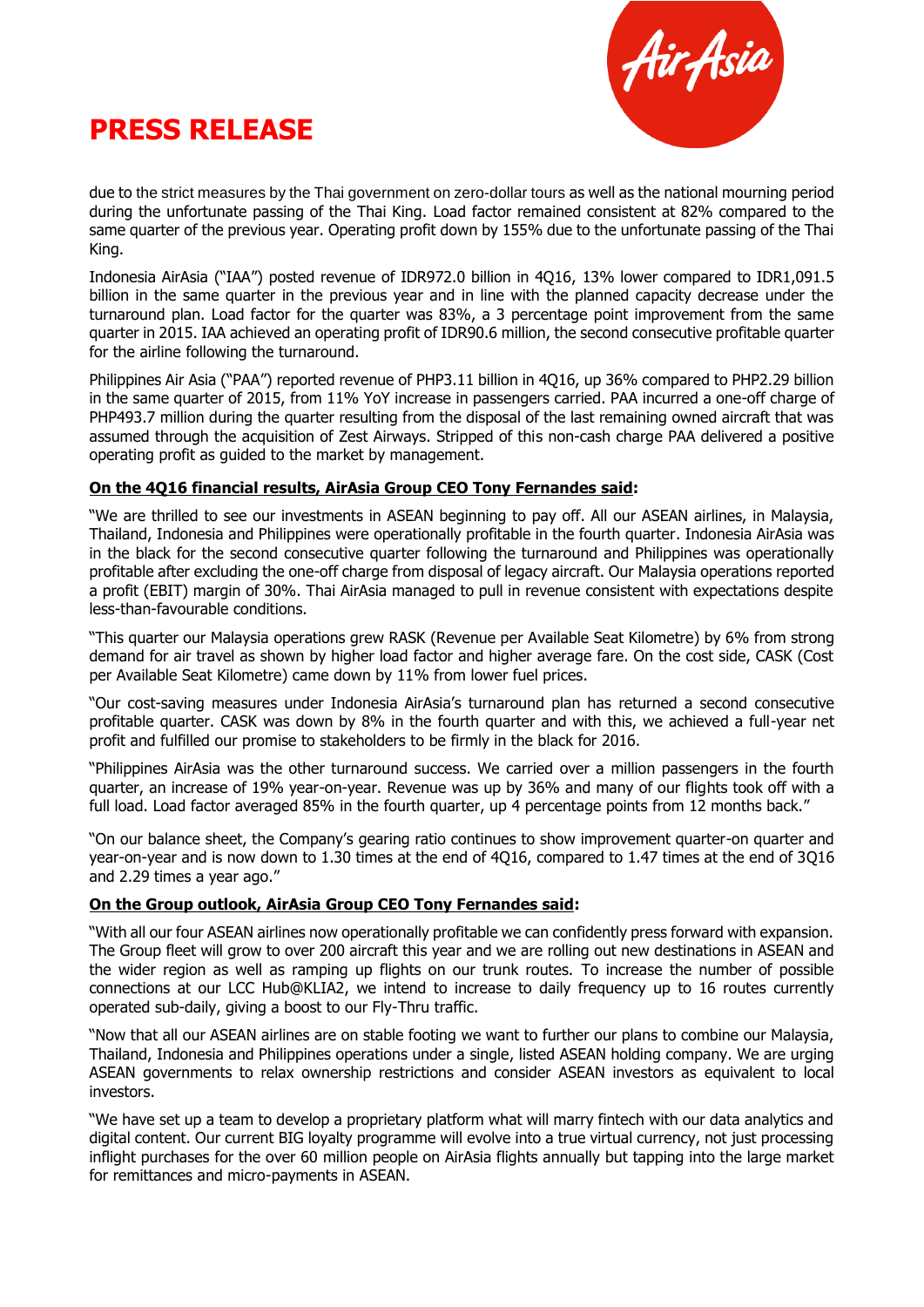



due to the strict measures by the Thai government on zero-dollar tours as well as the national mourning period during the unfortunate passing of the Thai King. Load factor remained consistent at 82% compared to the same quarter of the previous year. Operating profit down by 155% due to the unfortunate passing of the Thai King.

Indonesia AirAsia ("IAA") posted revenue of IDR972.0 billion in 4Q16, 13% lower compared to IDR1,091.5 billion in the same quarter in the previous year and in line with the planned capacity decrease under the turnaround plan. Load factor for the quarter was 83%, a 3 percentage point improvement from the same quarter in 2015. IAA achieved an operating profit of IDR90.6 million, the second consecutive profitable quarter for the airline following the turnaround.

Philippines Air Asia ("PAA") reported revenue of PHP3.11 billion in 4Q16, up 36% compared to PHP2.29 billion in the same quarter of 2015, from 11% YoY increase in passengers carried. PAA incurred a one-off charge of PHP493.7 million during the quarter resulting from the disposal of the last remaining owned aircraft that was assumed through the acquisition of Zest Airways. Stripped of this non-cash charge PAA delivered a positive operating profit as guided to the market by management.

## **On the 4Q16 financial results, AirAsia Group CEO Tony Fernandes said:**

"We are thrilled to see our investments in ASEAN beginning to pay off. All our ASEAN airlines, in Malaysia, Thailand, Indonesia and Philippines were operationally profitable in the fourth quarter. Indonesia AirAsia was in the black for the second consecutive quarter following the turnaround and Philippines was operationally profitable after excluding the one-off charge from disposal of legacy aircraft. Our Malaysia operations reported a profit (EBIT) margin of 30%. Thai AirAsia managed to pull in revenue consistent with expectations despite less-than-favourable conditions.

"This quarter our Malaysia operations grew RASK (Revenue per Available Seat Kilometre) by 6% from strong demand for air travel as shown by higher load factor and higher average fare. On the cost side, CASK (Cost per Available Seat Kilometre) came down by 11% from lower fuel prices.

"Our cost-saving measures under Indonesia AirAsia's turnaround plan has returned a second consecutive profitable quarter. CASK was down by 8% in the fourth quarter and with this, we achieved a full-year net profit and fulfilled our promise to stakeholders to be firmly in the black for 2016.

"Philippines AirAsia was the other turnaround success. We carried over a million passengers in the fourth quarter, an increase of 19% year-on-year. Revenue was up by 36% and many of our flights took off with a full load. Load factor averaged 85% in the fourth quarter, up 4 percentage points from 12 months back."

"On our balance sheet, the Company's gearing ratio continues to show improvement quarter-on quarter and year-on-year and is now down to 1.30 times at the end of 4Q16, compared to 1.47 times at the end of 3Q16 and 2.29 times a year ago."

## **On the Group outlook, AirAsia Group CEO Tony Fernandes said:**

"With all our four ASEAN airlines now operationally profitable we can confidently press forward with expansion. The Group fleet will grow to over 200 aircraft this year and we are rolling out new destinations in ASEAN and the wider region as well as ramping up flights on our trunk routes. To increase the number of possible connections at our LCC Hub@KLIA2, we intend to increase to daily frequency up to 16 routes currently operated sub-daily, giving a boost to our Fly-Thru traffic.

"Now that all our ASEAN airlines are on stable footing we want to further our plans to combine our Malaysia, Thailand, Indonesia and Philippines operations under a single, listed ASEAN holding company. We are urging ASEAN governments to relax ownership restrictions and consider ASEAN investors as equivalent to local investors.

"We have set up a team to develop a proprietary platform what will marry fintech with our data analytics and digital content. Our current BIG loyalty programme will evolve into a true virtual currency, not just processing inflight purchases for the over 60 million people on AirAsia flights annually but tapping into the large market for remittances and micro-payments in ASEAN.